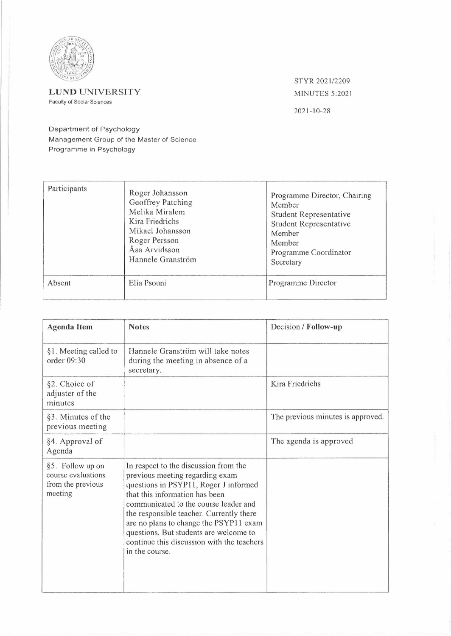

## **L UNO** UNIVERSITY Faculty of Social Sciences

STYR 2021 /2209 MINUTES 5:2021

2021-10-28

Department of Psychology Management Group of the Master of Science Programme in Psychology

| Participants | Roger Johansson<br>Geoffrey Patching<br>Melika Miralem<br>Kira Friedrichs<br>Mikael Johansson<br>Roger Persson<br>Åsa Arvidsson<br>Hannele Granström | Programme Director, Chairing<br>Member<br><b>Student Representative</b><br>Student Representative<br>Member<br>Member<br>Programme Coordinator<br>Secretary |
|--------------|------------------------------------------------------------------------------------------------------------------------------------------------------|-------------------------------------------------------------------------------------------------------------------------------------------------------------|
| Absent       | Elia Psouni                                                                                                                                          | Programme Director                                                                                                                                          |

| <b>Agenda Item</b>                                                     | <b>Notes</b>                                                                                                                                                                                                                                                                                                                                                                                 | Decision / Follow-up              |
|------------------------------------------------------------------------|----------------------------------------------------------------------------------------------------------------------------------------------------------------------------------------------------------------------------------------------------------------------------------------------------------------------------------------------------------------------------------------------|-----------------------------------|
| §1. Meeting called to<br>order 09:30                                   | Hannele Granström will take notes<br>during the meeting in absence of a<br>secretary.                                                                                                                                                                                                                                                                                                        |                                   |
| §2. Choice of<br>adjuster of the<br>minutes                            |                                                                                                                                                                                                                                                                                                                                                                                              | Kira Friedrichs                   |
| §3. Minutes of the<br>previous meeting                                 |                                                                                                                                                                                                                                                                                                                                                                                              | The previous minutes is approved. |
| §4. Approval of<br>Agenda                                              |                                                                                                                                                                                                                                                                                                                                                                                              | The agenda is approved            |
| §5. Follow up on<br>course evaluations<br>from the previous<br>meeting | In respect to the discussion from the<br>previous meeting regarding exam<br>questions in PSYP11, Roger J informed<br>that this information has been<br>communicated to the course leader and<br>the responsible teacher. Currently there<br>are no plans to change the PSYP11 exam<br>questions. But students are welcome to<br>continue this discussion with the teachers<br>in the course. |                                   |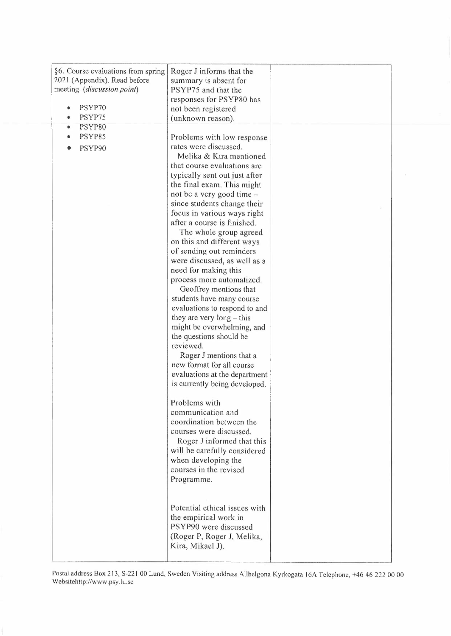| §6. Course evaluations from spring<br>2021 (Appendix). Read before<br>meeting. (discussion point)<br>PSYP70<br>PSYP75 | Roger J informs that the<br>summary is absent for<br>PSYP75 and that the<br>responses for PSYP80 has<br>not been registered<br>(unknown reason).                                                                                                                                                                                                                                                                                                                                                                                                                                                                                                                                                                                     |  |
|-----------------------------------------------------------------------------------------------------------------------|--------------------------------------------------------------------------------------------------------------------------------------------------------------------------------------------------------------------------------------------------------------------------------------------------------------------------------------------------------------------------------------------------------------------------------------------------------------------------------------------------------------------------------------------------------------------------------------------------------------------------------------------------------------------------------------------------------------------------------------|--|
|                                                                                                                       |                                                                                                                                                                                                                                                                                                                                                                                                                                                                                                                                                                                                                                                                                                                                      |  |
| PSYP80<br>PSYP85<br>PSYP90                                                                                            | Problems with low response<br>rates were discussed.<br>Melika & Kira mentioned<br>that course evaluations are<br>typically sent out just after<br>the final exam. This might<br>not be a very good time -<br>since students change their<br>focus in various ways right<br>after a course is finished.<br>The whole group agreed<br>on this and different ways<br>of sending out reminders<br>were discussed, as well as a<br>need for making this<br>process more automatized.<br>Geoffrey mentions that<br>students have many course<br>evaluations to respond to and<br>they are very $long - this$<br>might be overwhelming, and<br>the questions should be<br>reviewed.<br>Roger J mentions that a<br>new format for all course |  |
|                                                                                                                       | evaluations at the department<br>is currently being developed.                                                                                                                                                                                                                                                                                                                                                                                                                                                                                                                                                                                                                                                                       |  |
|                                                                                                                       | Problems with<br>communication and<br>coordination between the<br>courses were discussed.<br>Roger J informed that this<br>will be carefully considered<br>when developing the<br>courses in the revised<br>Programme.                                                                                                                                                                                                                                                                                                                                                                                                                                                                                                               |  |
|                                                                                                                       | Potential ethical issues with<br>the empirical work in<br>PSYP90 were discussed<br>(Roger P, Roger J, Melika,<br>Kira, Mikael J).                                                                                                                                                                                                                                                                                                                                                                                                                                                                                                                                                                                                    |  |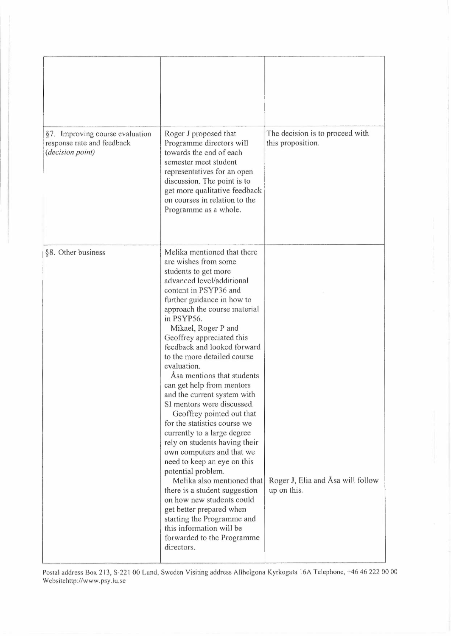| §7. Improving course evaluation<br>response rate and feedback<br>(decision point) | Roger J proposed that<br>Programme directors will<br>towards the end of each<br>semester meet student<br>representatives for an open<br>discussion. The point is to<br>get more qualitative feedback<br>on courses in relation to the<br>Programme as a whole.                                                                                                                                                                                                                                                                                                                                                                                                                                                                                                                                                                                                                                                      | The decision is to proceed with<br>this proposition. |
|-----------------------------------------------------------------------------------|---------------------------------------------------------------------------------------------------------------------------------------------------------------------------------------------------------------------------------------------------------------------------------------------------------------------------------------------------------------------------------------------------------------------------------------------------------------------------------------------------------------------------------------------------------------------------------------------------------------------------------------------------------------------------------------------------------------------------------------------------------------------------------------------------------------------------------------------------------------------------------------------------------------------|------------------------------------------------------|
| §8. Other business                                                                | Melika mentioned that there<br>are wishes from some<br>students to get more<br>advanced level/additional<br>content in PSYP36 and<br>further guidance in how to<br>approach the course material<br>in PSYP56.<br>Mikael, Roger P and<br>Geoffrey appreciated this<br>feedback and looked forward<br>to the more detailed course<br>evaluation.<br>Asa mentions that students<br>can get help from mentors<br>and the current system with<br>SI mentors were discussed.<br>Geoffrey pointed out that<br>for the statistics course we<br>currently to a large degree<br>rely on students having their<br>own computers and that we<br>need to keep an eye on this<br>potential problem.<br>Melika also mentioned that<br>there is a student suggestion<br>on how new students could<br>get better prepared when<br>starting the Programme and<br>this information will be<br>forwarded to the Programme<br>directors. | Roger J, Elia and Åsa will follow<br>up on this.     |

Postal address Box 213, S-221 00 Lund, Sweden Visiting address Allhelgona Kyrkogata 16A Telephone, +46 46 222 00 00 Websitehttp://www.psy.lu.se